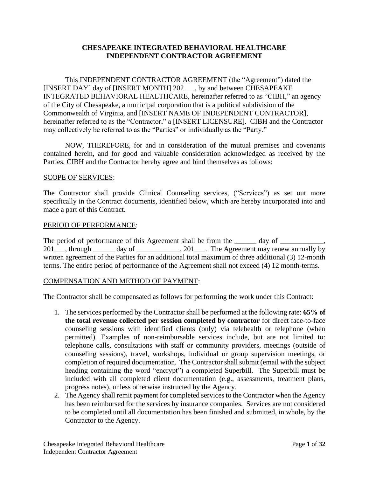#### **CHESAPEAKE INTEGRATED BEHAVIORAL HEALTHCARE INDEPENDENT CONTRACTOR AGREEMENT**

This INDEPENDENT CONTRACTOR AGREEMENT (the "Agreement") dated the [INSERT DAY] day of [INSERT MONTH] 202\_\_\_, by and between CHESAPEAKE INTEGRATED BEHAVIORAL HEALTHCARE, hereinafter referred to as "CIBH," an agency of the City of Chesapeake, a municipal corporation that is a political subdivision of the Commonwealth of Virginia, and [INSERT NAME OF INDEPENDENT CONTRACTOR], hereinafter referred to as the "Contractor," a [INSERT LICENSURE]. CIBH and the Contractor may collectively be referred to as the "Parties" or individually as the "Party."

NOW, THEREFORE, for and in consideration of the mutual premises and covenants contained herein, and for good and valuable consideration acknowledged as received by the Parties, CIBH and the Contractor hereby agree and bind themselves as follows:

#### SCOPE OF SERVICES:

The Contractor shall provide Clinical Counseling services, ("Services") as set out more specifically in the Contract documents, identified below, which are hereby incorporated into and made a part of this Contract.

#### PERIOD OF PERFORMANCE:

The period of performance of this Agreement shall be from the \_\_\_\_\_\_ day of \_\_\_\_\_\_\_\_\_ 201<sup>-</sup>, through \_\_\_\_\_\_ day of \_\_\_\_\_\_\_\_\_\_, 201<sup>-</sup>\_\_\_. The Agreement may renew annually by written agreement of the Parties for an additional total maximum of three additional (3) 12-month terms. The entire period of performance of the Agreement shall not exceed (4) 12 month-terms.

#### COMPENSATION AND METHOD OF PAYMENT:

The Contractor shall be compensated as follows for performing the work under this Contract:

- 1. The services performed by the Contractor shall be performed at the following rate: **65% of the total revenue collected per session completed by contractor** for direct face-to-face counseling sessions with identified clients (only) via telehealth or telephone (when permitted). Examples of non-reimbursable services include, but are not limited to: telephone calls, consultations with staff or community providers, meetings (outside of counseling sessions), travel, workshops, individual or group supervision meetings, or completion of required documentation. The Contractor shall submit (email with the subject heading containing the word "encrypt") a completed Superbill. The Superbill must be included with all completed client documentation (e.g., assessments, treatment plans, progress notes), unless otherwise instructed by the Agency.
- 2. The Agency shall remit payment for completed services to the Contractor when the Agency has been reimbursed for the services by insurance companies. Services are not considered to be completed until all documentation has been finished and submitted, in whole, by the Contractor to the Agency.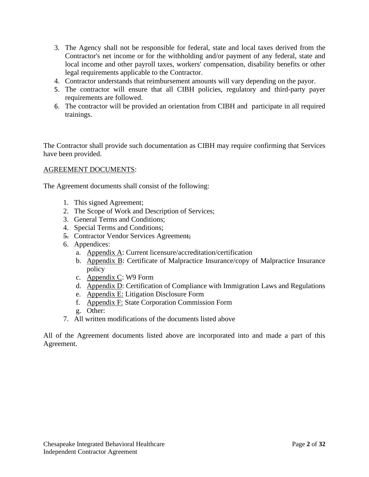- 3. The Agency shall not be responsible for federal, state and local taxes derived from the Contractor's net income or for the withholding and/or payment of any federal, state and local income and other payroll taxes, workers' compensation, disability benefits or other legal requirements applicable to the Contractor.
- 4. Contractor understands that reimbursement amounts will vary depending on the payor.
- 5. The contractor will ensure that all CIBH policies, regulatory and third-party payer requirements are followed.
- 6. The contractor will be provided an orientation from CIBH and participate in all required trainings.

The Contractor shall provide such documentation as CIBH may require confirming that Services have been provided.

#### AGREEMENT DOCUMENTS:

The Agreement documents shall consist of the following:

- 1. This signed Agreement;
- 2. The Scope of Work and Description of Services;
- 3. General Terms and Conditions;
- 4. Special Terms and Conditions;
- 5. Contractor Vendor Services Agreement;
- 6. Appendices:
	- a. Appendix A: Current licensure/accreditation/certification
	- b. Appendix B: Certificate of Malpractice Insurance/copy of Malpractice Insurance policy
	- c. Appendix C: W9 Form
	- d. Appendix D: Certification of Compliance with Immigration Laws and Regulations
	- e. Appendix E: Litigation Disclosure Form
	- f. Appendix F: State Corporation Commission Form
	- g. Other:
- 7. All written modifications of the documents listed above

All of the Agreement documents listed above are incorporated into and made a part of this Agreement.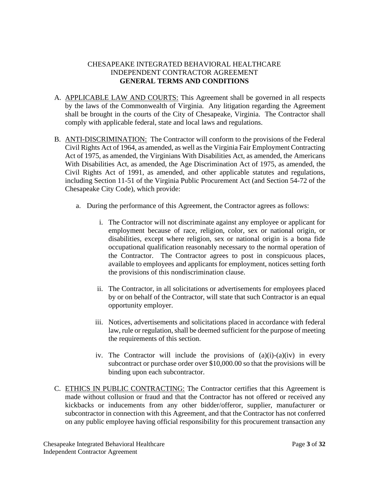# CHESAPEAKE INTEGRATED BEHAVIORAL HEALTHCARE INDEPENDENT CONTRACTOR AGREEMENT **GENERAL TERMS AND CONDITIONS**

- A. APPLICABLE LAW AND COURTS: This Agreement shall be governed in all respects by the laws of the Commonwealth of Virginia. Any litigation regarding the Agreement shall be brought in the courts of the City of Chesapeake, Virginia. The Contractor shall comply with applicable federal, state and local laws and regulations.
- B. ANTI-DISCRIMINATION: The Contractor will conform to the provisions of the Federal Civil Rights Act of 1964, as amended, as well as the Virginia Fair Employment Contracting Act of 1975, as amended, the Virginians With Disabilities Act, as amended, the Americans With Disabilities Act, as amended, the Age Discrimination Act of 1975, as amended, the Civil Rights Act of 1991, as amended, and other applicable statutes and regulations, including Section 11-51 of the Virginia Public Procurement Act (and Section 54-72 of the Chesapeake City Code), which provide:
	- a. During the performance of this Agreement, the Contractor agrees as follows:
		- i. The Contractor will not discriminate against any employee or applicant for employment because of race, religion, color, sex or national origin, or disabilities, except where religion, sex or national origin is a bona fide occupational qualification reasonably necessary to the normal operation of the Contractor. The Contractor agrees to post in conspicuous places, available to employees and applicants for employment, notices setting forth the provisions of this nondiscrimination clause.
		- ii. The Contractor, in all solicitations or advertisements for employees placed by or on behalf of the Contractor, will state that such Contractor is an equal opportunity employer.
		- iii. Notices, advertisements and solicitations placed in accordance with federal law, rule or regulation, shall be deemed sufficient for the purpose of meeting the requirements of this section.
		- iv. The Contractor will include the provisions of  $(a)(i)-(a)(iv)$  in every subcontract or purchase order over \$10,000.00 so that the provisions will be binding upon each subcontractor.
- C. ETHICS IN PUBLIC CONTRACTING: The Contractor certifies that this Agreement is made without collusion or fraud and that the Contractor has not offered or received any kickbacks or inducements from any other bidder/offeror, supplier, manufacturer or subcontractor in connection with this Agreement, and that the Contractor has not conferred on any public employee having official responsibility for this procurement transaction any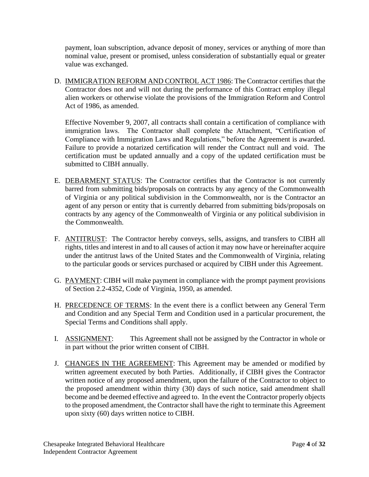payment, loan subscription, advance deposit of money, services or anything of more than nominal value, present or promised, unless consideration of substantially equal or greater value was exchanged.

D. IMMIGRATION REFORM AND CONTROL ACT 1986: The Contractor certifies that the Contractor does not and will not during the performance of this Contract employ illegal alien workers or otherwise violate the provisions of the Immigration Reform and Control Act of 1986, as amended.

Effective November 9, 2007, all contracts shall contain a certification of compliance with immigration laws. The Contractor shall complete the Attachment, "Certification of Compliance with Immigration Laws and Regulations," before the Agreement is awarded. Failure to provide a notarized certification will render the Contract null and void. The certification must be updated annually and a copy of the updated certification must be submitted to CIBH annually.

- E. DEBARMENT STATUS: The Contractor certifies that the Contractor is not currently barred from submitting bids/proposals on contracts by any agency of the Commonwealth of Virginia or any political subdivision in the Commonwealth, nor is the Contractor an agent of any person or entity that is currently debarred from submitting bids/proposals on contracts by any agency of the Commonwealth of Virginia or any political subdivision in the Commonwealth.
- F. ANTITRUST: The Contractor hereby conveys, sells, assigns, and transfers to CIBH all rights, titles and interest in and to all causes of action it may now have or hereinafter acquire under the antitrust laws of the United States and the Commonwealth of Virginia, relating to the particular goods or services purchased or acquired by CIBH under this Agreement.
- G. PAYMENT: CIBH will make payment in compliance with the prompt payment provisions of Section 2.2-4352, Code of Virginia, 1950, as amended.
- H. PRECEDENCE OF TERMS: In the event there is a conflict between any General Term and Condition and any Special Term and Condition used in a particular procurement, the Special Terms and Conditions shall apply.
- I. ASSIGNMENT: This Agreement shall not be assigned by the Contractor in whole or in part without the prior written consent of CIBH.
- J. CHANGES IN THE AGREEMENT: This Agreement may be amended or modified by written agreement executed by both Parties. Additionally, if CIBH gives the Contractor written notice of any proposed amendment, upon the failure of the Contractor to object to the proposed amendment within thirty (30) days of such notice, said amendment shall become and be deemed effective and agreed to. In the event the Contractor properly objects to the proposed amendment, the Contractor shall have the right to terminate this Agreement upon sixty (60) days written notice to CIBH.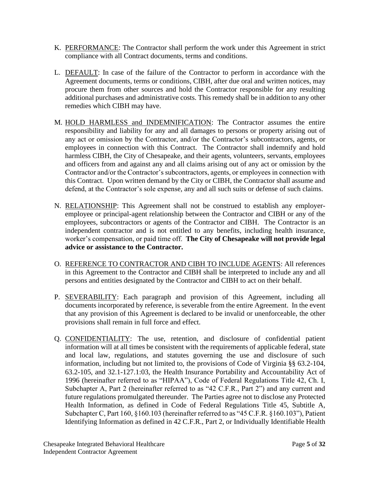- K. PERFORMANCE: The Contractor shall perform the work under this Agreement in strict compliance with all Contract documents, terms and conditions.
- L. DEFAULT: In case of the failure of the Contractor to perform in accordance with the Agreement documents, terms or conditions, CIBH, after due oral and written notices, may procure them from other sources and hold the Contractor responsible for any resulting additional purchases and administrative costs. This remedy shall be in addition to any other remedies which CIBH may have.
- M. HOLD HARMLESS and INDEMNIFICATION: The Contractor assumes the entire responsibility and liability for any and all damages to persons or property arising out of any act or omission by the Contractor, and/or the Contractor's subcontractors, agents, or employees in connection with this Contract. The Contractor shall indemnify and hold harmless CIBH, the City of Chesapeake, and their agents, volunteers, servants, employees and officers from and against any and all claims arising out of any act or omission by the Contractor and/or the Contractor's subcontractors, agents, or employees in connection with this Contract. Upon written demand by the City or CIBH, the Contractor shall assume and defend, at the Contractor's sole expense, any and all such suits or defense of such claims.
- N. RELATIONSHIP: This Agreement shall not be construed to establish any employeremployee or principal-agent relationship between the Contractor and CIBH or any of the employees, subcontractors or agents of the Contractor and CIBH. The Contractor is an independent contractor and is not entitled to any benefits, including health insurance, worker's compensation, or paid time off. **The City of Chesapeake will not provide legal advice or assistance to the Contractor.**
- O. REFERENCE TO CONTRACTOR AND CIBH TO INCLUDE AGENTS: All references in this Agreement to the Contractor and CIBH shall be interpreted to include any and all persons and entities designated by the Contractor and CIBH to act on their behalf.
- P. **SEVERABILITY**: Each paragraph and provision of this Agreement, including all documents incorporated by reference, is severable from the entire Agreement. In the event that any provision of this Agreement is declared to be invalid or unenforceable, the other provisions shall remain in full force and effect.
- Q. CONFIDENTIALITY: The use, retention, and disclosure of confidential patient information will at all times be consistent with the requirements of applicable federal, state and local law, regulations, and statutes governing the use and disclosure of such information, including but not limited to, the provisions of Code of Virginia §§ 63.2-104, 63.2-105, and 32.1-127.1:03, the Health Insurance Portability and Accountability Act of 1996 (hereinafter referred to as "HIPAA"), Code of Federal Regulations Title 42, Ch. I, Subchapter A, Part 2 (hereinafter referred to as "42 C.F.R., Part 2") and any current and future regulations promulgated thereunder. The Parties agree not to disclose any Protected Health Information, as defined in Code of Federal Regulations Title 45, Subtitle A, Subchapter C, Part 160, §160.103 (hereinafter referred to as "45 C.F.R. §160.103"), Patient Identifying Information as defined in 42 C.F.R., Part 2, or Individually Identifiable Health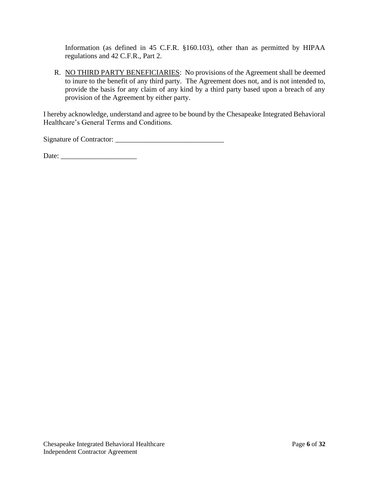Information (as defined in 45 C.F.R. §160.103), other than as permitted by HIPAA regulations and 42 C.F.R., Part 2.

R. NO THIRD PARTY BENEFICIARIES: No provisions of the Agreement shall be deemed to inure to the benefit of any third party. The Agreement does not, and is not intended to, provide the basis for any claim of any kind by a third party based upon a breach of any provision of the Agreement by either party.

I hereby acknowledge, understand and agree to be bound by the Chesapeake Integrated Behavioral Healthcare's General Terms and Conditions.

Signature of Contractor: \_\_\_\_\_\_\_\_\_\_\_\_\_\_\_\_\_\_\_\_\_\_\_\_\_\_\_\_\_\_

Date: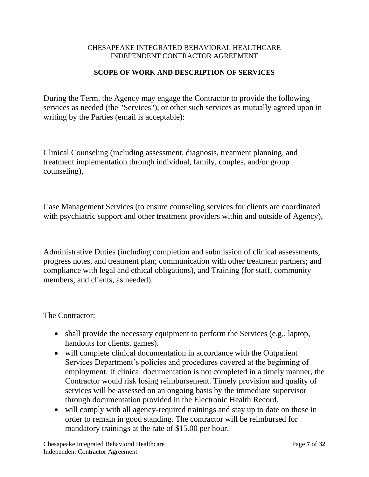#### CHESAPEAKE INTEGRATED BEHAVIORAL HEALTHCARE INDEPENDENT CONTRACTOR AGREEMENT

# **SCOPE OF WORK AND DESCRIPTION OF SERVICES**

During the Term, the Agency may engage the Contractor to provide the following services as needed (the "Services"), or other such services as mutually agreed upon in writing by the Parties (email is acceptable):

Clinical Counseling (including assessment, diagnosis, treatment planning, and treatment implementation through individual, family, couples, and/or group counseling),

Case Management Services (to ensure counseling services for clients are coordinated with psychiatric support and other treatment providers within and outside of Agency),

Administrative Duties (including completion and submission of clinical assessments, progress notes, and treatment plan; communication with other treatment partners; and compliance with legal and ethical obligations), and Training (for staff, community members, and clients, as needed).

The Contractor:

- shall provide the necessary equipment to perform the Services (e.g., laptop, handouts for clients, games).
- will complete clinical documentation in accordance with the Outpatient Services Department's policies and procedures covered at the beginning of employment. If clinical documentation is not completed in a timely manner, the Contractor would risk losing reimbursement. Timely provision and quality of services will be assessed on an ongoing basis by the immediate supervisor through documentation provided in the Electronic Health Record.
- will comply with all agency-required trainings and stay up to date on those in order to remain in good standing. The contractor will be reimbursed for mandatory trainings at the rate of \$15.00 per hour.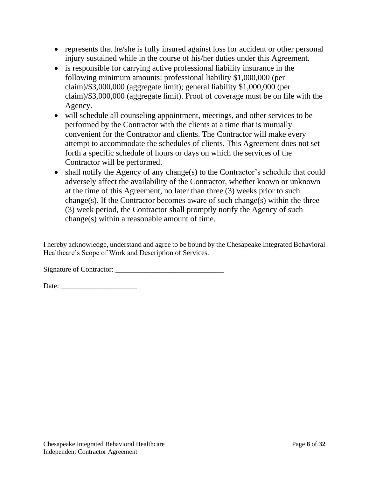- represents that he/she is fully insured against loss for accident or other personal injury sustained while in the course of his/her duties under this Agreement.
- is responsible for carrying active professional liability insurance in the following minimum amounts: professional liability \$1,000,000 (per claim)/\$3,000,000 (aggregate limit); general liability \$1,000,000 (per claim)/\$3,000,000 (aggregate limit). Proof of coverage must be on file with the Agency.
- will schedule all counseling appointment, meetings, and other services to be performed by the Contractor with the clients at a time that is mutually convenient for the Contractor and clients. The Contractor will make every attempt to accommodate the schedules of clients. This Agreement does not set forth a specific schedule of hours or days on which the services of the Contractor will be performed.
- shall notify the Agency of any change(s) to the Contractor's schedule that could adversely affect the availability of the Contractor, whether known or unknown at the time of this Agreement, no later than three (3) weeks prior to such change(s). If the Contractor becomes aware of such change(s) within the three (3) week period, the Contractor shall promptly notify the Agency of such change(s) within a reasonable amount of time.

I hereby acknowledge, understand and agree to be bound by the Chesapeake Integrated Behavioral Healthcare's Scope of Work and Description of Services.

Signature of Contractor: \_\_\_\_\_\_\_\_\_\_\_\_\_\_\_\_\_\_\_\_\_\_\_\_\_\_\_\_\_\_

Date: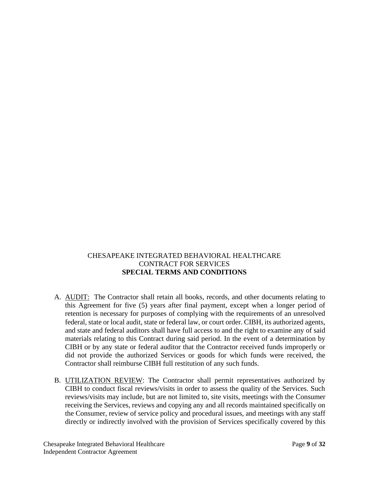# CHESAPEAKE INTEGRATED BEHAVIORAL HEALTHCARE CONTRACT FOR SERVICES **SPECIAL TERMS AND CONDITIONS**

- A. AUDIT: The Contractor shall retain all books, records, and other documents relating to this Agreement for five (5) years after final payment, except when a longer period of retention is necessary for purposes of complying with the requirements of an unresolved federal, state or local audit, state or federal law, or court order. CIBH, its authorized agents, and state and federal auditors shall have full access to and the right to examine any of said materials relating to this Contract during said period. In the event of a determination by CIBH or by any state or federal auditor that the Contractor received funds improperly or did not provide the authorized Services or goods for which funds were received, the Contractor shall reimburse CIBH full restitution of any such funds.
- B. UTILIZATION REVIEW: The Contractor shall permit representatives authorized by CIBH to conduct fiscal reviews/visits in order to assess the quality of the Services. Such reviews/visits may include, but are not limited to, site visits, meetings with the Consumer receiving the Services, reviews and copying any and all records maintained specifically on the Consumer, review of service policy and procedural issues, and meetings with any staff directly or indirectly involved with the provision of Services specifically covered by this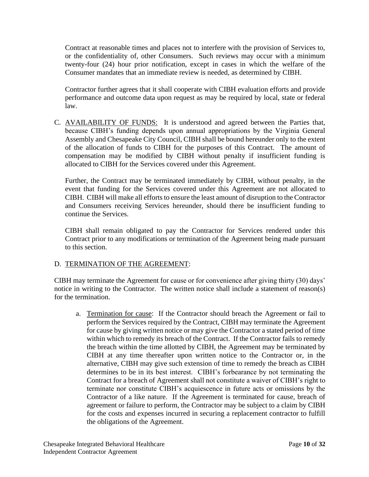Contract at reasonable times and places not to interfere with the provision of Services to, or the confidentiality of, other Consumers. Such reviews may occur with a minimum twenty-four (24) hour prior notification, except in cases in which the welfare of the Consumer mandates that an immediate review is needed, as determined by CIBH.

Contractor further agrees that it shall cooperate with CIBH evaluation efforts and provide performance and outcome data upon request as may be required by local, state or federal law.

C. AVAILABILITY OF FUNDS: It is understood and agreed between the Parties that, because CIBH's funding depends upon annual appropriations by the Virginia General Assembly and Chesapeake City Council, CIBH shall be bound hereunder only to the extent of the allocation of funds to CIBH for the purposes of this Contract. The amount of compensation may be modified by CIBH without penalty if insufficient funding is allocated to CIBH for the Services covered under this Agreement.

Further, the Contract may be terminated immediately by CIBH, without penalty, in the event that funding for the Services covered under this Agreement are not allocated to CIBH. CIBH will make all efforts to ensure the least amount of disruption to the Contractor and Consumers receiving Services hereunder, should there be insufficient funding to continue the Services.

CIBH shall remain obligated to pay the Contractor for Services rendered under this Contract prior to any modifications or termination of the Agreement being made pursuant to this section.

# D. TERMINATION OF THE AGREEMENT:

CIBH may terminate the Agreement for cause or for convenience after giving thirty (30) days' notice in writing to the Contractor. The written notice shall include a statement of reason(s) for the termination.

a. Termination for cause: If the Contractor should breach the Agreement or fail to perform the Services required by the Contract, CIBH may terminate the Agreement for cause by giving written notice or may give the Contractor a stated period of time within which to remedy its breach of the Contract. If the Contractor fails to remedy the breach within the time allotted by CIBH, the Agreement may be terminated by CIBH at any time thereafter upon written notice to the Contractor or, in the alternative, CIBH may give such extension of time to remedy the breach as CIBH determines to be in its best interest. CIBH's forbearance by not terminating the Contract for a breach of Agreement shall not constitute a waiver of CIBH's right to terminate nor constitute CIBH's acquiescence in future acts or omissions by the Contractor of a like nature. If the Agreement is terminated for cause, breach of agreement or failure to perform, the Contractor may be subject to a claim by CIBH for the costs and expenses incurred in securing a replacement contractor to fulfill the obligations of the Agreement.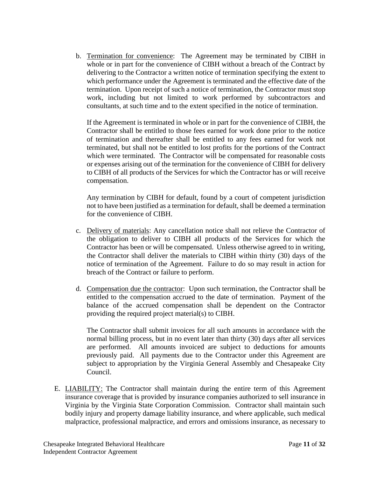b. Termination for convenience: The Agreement may be terminated by CIBH in whole or in part for the convenience of CIBH without a breach of the Contract by delivering to the Contractor a written notice of termination specifying the extent to which performance under the Agreement is terminated and the effective date of the termination. Upon receipt of such a notice of termination, the Contractor must stop work, including but not limited to work performed by subcontractors and consultants, at such time and to the extent specified in the notice of termination.

If the Agreement is terminated in whole or in part for the convenience of CIBH, the Contractor shall be entitled to those fees earned for work done prior to the notice of termination and thereafter shall be entitled to any fees earned for work not terminated, but shall not be entitled to lost profits for the portions of the Contract which were terminated. The Contractor will be compensated for reasonable costs or expenses arising out of the termination for the convenience of CIBH for delivery to CIBH of all products of the Services for which the Contractor has or will receive compensation.

Any termination by CIBH for default, found by a court of competent jurisdiction not to have been justified as a termination for default, shall be deemed a termination for the convenience of CIBH.

- c. Delivery of materials: Any cancellation notice shall not relieve the Contractor of the obligation to deliver to CIBH all products of the Services for which the Contractor has been or will be compensated. Unless otherwise agreed to in writing, the Contractor shall deliver the materials to CIBH within thirty (30) days of the notice of termination of the Agreement. Failure to do so may result in action for breach of the Contract or failure to perform.
- d. Compensation due the contractor: Upon such termination, the Contractor shall be entitled to the compensation accrued to the date of termination. Payment of the balance of the accrued compensation shall be dependent on the Contractor providing the required project material(s) to CIBH.

The Contractor shall submit invoices for all such amounts in accordance with the normal billing process, but in no event later than thirty (30) days after all services are performed. All amounts invoiced are subject to deductions for amounts previously paid. All payments due to the Contractor under this Agreement are subject to appropriation by the Virginia General Assembly and Chesapeake City Council.

E. LIABILITY: The Contractor shall maintain during the entire term of this Agreement insurance coverage that is provided by insurance companies authorized to sell insurance in Virginia by the Virginia State Corporation Commission. Contractor shall maintain such bodily injury and property damage liability insurance, and where applicable, such medical malpractice, professional malpractice, and errors and omissions insurance, as necessary to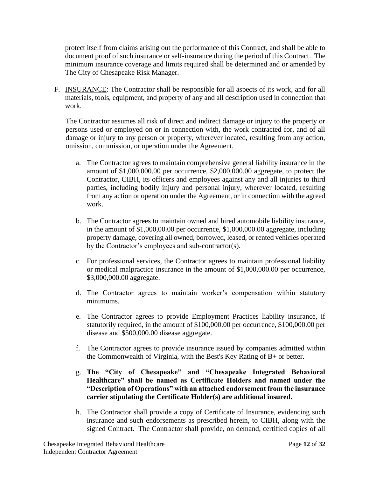protect itself from claims arising out the performance of this Contract, and shall be able to document proof of such insurance or self-insurance during the period of this Contract. The minimum insurance coverage and limits required shall be determined and or amended by The City of Chesapeake Risk Manager.

F. INSURANCE: The Contractor shall be responsible for all aspects of its work, and for all materials, tools, equipment, and property of any and all description used in connection that work.

The Contractor assumes all risk of direct and indirect damage or injury to the property or persons used or employed on or in connection with, the work contracted for, and of all damage or injury to any person or property, wherever located, resulting from any action, omission, commission, or operation under the Agreement.

- a. The Contractor agrees to maintain comprehensive general liability insurance in the amount of \$1,000,000.00 per occurrence, \$2,000,000.00 aggregate, to protect the Contractor, CIBH, its officers and employees against any and all injuries to third parties, including bodily injury and personal injury, wherever located, resulting from any action or operation under the Agreement, or in connection with the agreed work.
- b. The Contractor agrees to maintain owned and hired automobile liability insurance, in the amount of \$1,000,00.00 per occurrence, \$1,000,000.00 aggregate, including property damage, covering all owned, borrowed, leased, or rented vehicles operated by the Contractor's employees and sub-contractor(s).
- c. For professional services, the Contractor agrees to maintain professional liability or medical malpractice insurance in the amount of \$1,000,000.00 per occurrence, \$3,000,000.00 aggregate.
- d. The Contractor agrees to maintain worker's compensation within statutory minimums.
- e. The Contractor agrees to provide Employment Practices liability insurance, if statutorily required, in the amount of \$100,000.00 per occurrence, \$100,000.00 per disease and \$500,000.00 disease aggregate.
- f. The Contractor agrees to provide insurance issued by companies admitted within the Commonwealth of Virginia, with the Best's Key Rating of B+ or better.
- g. **The "City of Chesapeake" and "Chesapeake Integrated Behavioral Healthcare" shall be named as Certificate Holders and named under the "Description of Operations" with an attached endorsement from the insurance carrier stipulating the Certificate Holder(s) are additional insured.**
- h. The Contractor shall provide a copy of Certificate of Insurance, evidencing such insurance and such endorsements as prescribed herein, to CIBH, along with the signed Contract. The Contractor shall provide, on demand, certified copies of all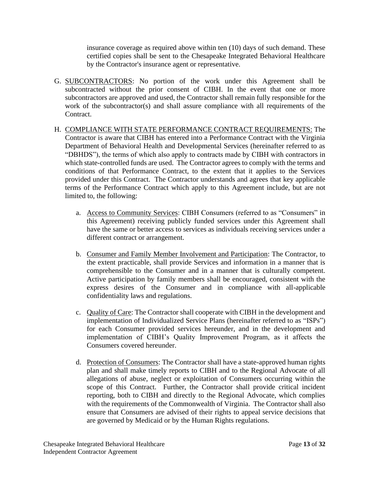insurance coverage as required above within ten (10) days of such demand. These certified copies shall be sent to the Chesapeake Integrated Behavioral Healthcare by the Contractor's insurance agent or representative.

- G. SUBCONTRACTORS: No portion of the work under this Agreement shall be subcontracted without the prior consent of CIBH. In the event that one or more subcontractors are approved and used, the Contractor shall remain fully responsible for the work of the subcontractor(s) and shall assure compliance with all requirements of the Contract.
- H. COMPLIANCE WITH STATE PERFORMANCE CONTRACT REQUIREMENTS: The Contractor is aware that CIBH has entered into a Performance Contract with the Virginia Department of Behavioral Health and Developmental Services (hereinafter referred to as "DBHDS"), the terms of which also apply to contracts made by CIBH with contractors in which state-controlled funds are used. The Contractor agrees to comply with the terms and conditions of that Performance Contract, to the extent that it applies to the Services provided under this Contract. The Contractor understands and agrees that key applicable terms of the Performance Contract which apply to this Agreement include, but are not limited to, the following:
	- a. Access to Community Services: CIBH Consumers (referred to as "Consumers" in this Agreement) receiving publicly funded services under this Agreement shall have the same or better access to services as individuals receiving services under a different contract or arrangement.
	- b. Consumer and Family Member Involvement and Participation: The Contractor, to the extent practicable, shall provide Services and information in a manner that is comprehensible to the Consumer and in a manner that is culturally competent. Active participation by family members shall be encouraged, consistent with the express desires of the Consumer and in compliance with all-applicable confidentiality laws and regulations.
	- c. Quality of Care: The Contractor shall cooperate with CIBH in the development and implementation of Individualized Service Plans (hereinafter referred to as "ISPs") for each Consumer provided services hereunder, and in the development and implementation of CIBH's Quality Improvement Program, as it affects the Consumers covered hereunder.
	- d. Protection of Consumers: The Contractor shall have a state-approved human rights plan and shall make timely reports to CIBH and to the Regional Advocate of all allegations of abuse, neglect or exploitation of Consumers occurring within the scope of this Contract. Further, the Contractor shall provide critical incident reporting, both to CIBH and directly to the Regional Advocate, which complies with the requirements of the Commonwealth of Virginia. The Contractor shall also ensure that Consumers are advised of their rights to appeal service decisions that are governed by Medicaid or by the Human Rights regulations.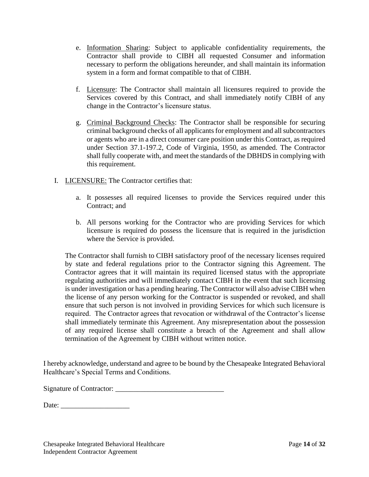- e. Information Sharing: Subject to applicable confidentiality requirements, the Contractor shall provide to CIBH all requested Consumer and information necessary to perform the obligations hereunder, and shall maintain its information system in a form and format compatible to that of CIBH.
- f. Licensure: The Contractor shall maintain all licensures required to provide the Services covered by this Contract, and shall immediately notify CIBH of any change in the Contractor's licensure status.
- g. Criminal Background Checks: The Contractor shall be responsible for securing criminal background checks of all applicants for employment and all subcontractors or agents who are in a direct consumer care position under this Contract, as required under Section 37.1-197.2, Code of Virginia, 1950, as amended. The Contractor shall fully cooperate with, and meet the standards of the DBHDS in complying with this requirement.
- I. LICENSURE: The Contractor certifies that:
	- a. It possesses all required licenses to provide the Services required under this Contract; and
	- b. All persons working for the Contractor who are providing Services for which licensure is required do possess the licensure that is required in the jurisdiction where the Service is provided.

The Contractor shall furnish to CIBH satisfactory proof of the necessary licenses required by state and federal regulations prior to the Contractor signing this Agreement. The Contractor agrees that it will maintain its required licensed status with the appropriate regulating authorities and will immediately contact CIBH in the event that such licensing is under investigation or has a pending hearing. The Contractor will also advise CIBH when the license of any person working for the Contractor is suspended or revoked, and shall ensure that such person is not involved in providing Services for which such licensure is required. The Contractor agrees that revocation or withdrawal of the Contractor's license shall immediately terminate this Agreement. Any misrepresentation about the possession of any required license shall constitute a breach of the Agreement and shall allow termination of the Agreement by CIBH without written notice.

I hereby acknowledge, understand and agree to be bound by the Chesapeake Integrated Behavioral Healthcare's Special Terms and Conditions.

Signature of Contractor: \_\_\_\_\_\_\_\_\_\_\_\_\_\_\_\_\_\_\_\_\_\_\_\_\_\_\_\_\_\_

Date: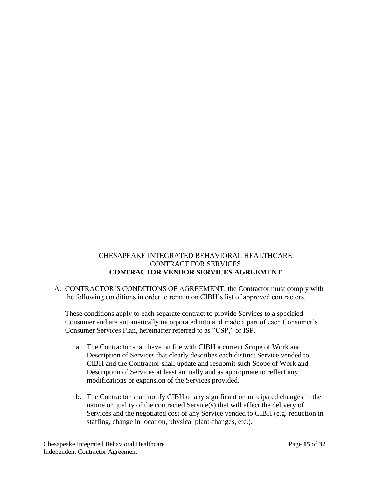# CHESAPEAKE INTEGRATED BEHAVIORAL HEALTHCARE CONTRACT FOR SERVICES **CONTRACTOR VENDOR SERVICES AGREEMENT**

A. CONTRACTOR'S CONDITIONS OF AGREEMENT: the Contractor must comply with the following conditions in order to remain on CIBH's list of approved contractors.

These conditions apply to each separate contract to provide Services to a specified Consumer and are automatically incorporated into and made a part of each Consumer's Consumer Services Plan, hereinafter referred to as "CSP," or ISP.

- a. The Contractor shall have on file with CIBH a current Scope of Work and Description of Services that clearly describes each distinct Service vended to CIBH and the Contractor shall update and resubmit such Scope of Work and Description of Services at least annually and as appropriate to reflect any modifications or expansion of the Services provided.
- b. The Contractor shall notify CIBH of any significant or anticipated changes in the nature or quality of the contracted Service(s) that will affect the delivery of Services and the negotiated cost of any Service vended to CIBH (e.g. reduction in staffing, change in location, physical plant changes, etc.).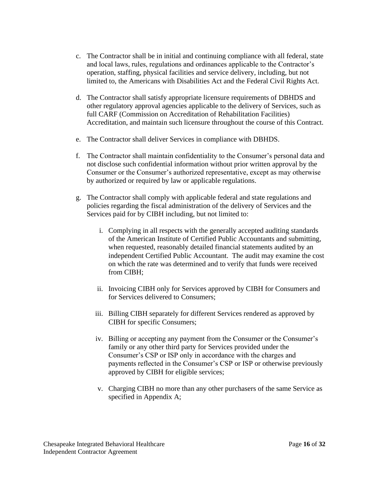- c. The Contractor shall be in initial and continuing compliance with all federal, state and local laws, rules, regulations and ordinances applicable to the Contractor's operation, staffing, physical facilities and service delivery, including, but not limited to, the Americans with Disabilities Act and the Federal Civil Rights Act.
- d. The Contractor shall satisfy appropriate licensure requirements of DBHDS and other regulatory approval agencies applicable to the delivery of Services, such as full CARF (Commission on Accreditation of Rehabilitation Facilities) Accreditation, and maintain such licensure throughout the course of this Contract.
- e. The Contractor shall deliver Services in compliance with DBHDS.
- f. The Contractor shall maintain confidentiality to the Consumer's personal data and not disclose such confidential information without prior written approval by the Consumer or the Consumer's authorized representative, except as may otherwise by authorized or required by law or applicable regulations.
- g. The Contractor shall comply with applicable federal and state regulations and policies regarding the fiscal administration of the delivery of Services and the Services paid for by CIBH including, but not limited to:
	- i. Complying in all respects with the generally accepted auditing standards of the American Institute of Certified Public Accountants and submitting, when requested, reasonably detailed financial statements audited by an independent Certified Public Accountant. The audit may examine the cost on which the rate was determined and to verify that funds were received from CIBH;
	- ii. Invoicing CIBH only for Services approved by CIBH for Consumers and for Services delivered to Consumers;
	- iii. Billing CIBH separately for different Services rendered as approved by CIBH for specific Consumers;
	- iv. Billing or accepting any payment from the Consumer or the Consumer's family or any other third party for Services provided under the Consumer's CSP or ISP only in accordance with the charges and payments reflected in the Consumer's CSP or ISP or otherwise previously approved by CIBH for eligible services;
	- v. Charging CIBH no more than any other purchasers of the same Service as specified in Appendix A;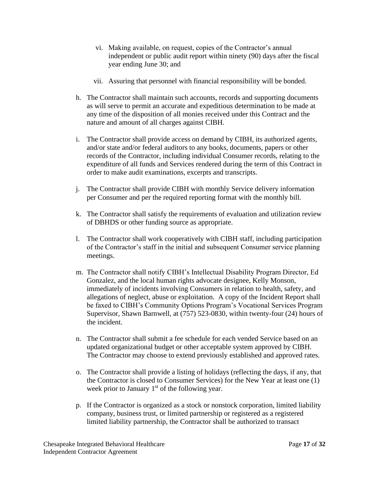- vi. Making available, on request, copies of the Contractor's annual independent or public audit report within ninety (90) days after the fiscal year ending June 30; and
- vii. Assuring that personnel with financial responsibility will be bonded.
- h. The Contractor shall maintain such accounts, records and supporting documents as will serve to permit an accurate and expeditious determination to be made at any time of the disposition of all monies received under this Contract and the nature and amount of all charges against CIBH.
- i. The Contractor shall provide access on demand by CIBH, its authorized agents, and/or state and/or federal auditors to any books, documents, papers or other records of the Contractor, including individual Consumer records, relating to the expenditure of all funds and Services rendered during the term of this Contract in order to make audit examinations, excerpts and transcripts.
- j. The Contractor shall provide CIBH with monthly Service delivery information per Consumer and per the required reporting format with the monthly bill.
- k. The Contractor shall satisfy the requirements of evaluation and utilization review of DBHDS or other funding source as appropriate.
- l. The Contractor shall work cooperatively with CIBH staff, including participation of the Contractor's staff in the initial and subsequent Consumer service planning meetings.
- m. The Contractor shall notify CIBH's Intellectual Disability Program Director, Ed Gonzalez, and the local human rights advocate designee, Kelly Monson, immediately of incidents involving Consumers in relation to health, safety, and allegations of neglect, abuse or exploitation. A copy of the Incident Report shall be faxed to CIBH's Community Options Program's Vocational Services Program Supervisor, Shawn Barnwell, at (757) 523-0830, within twenty-four (24) hours of the incident.
- n. The Contractor shall submit a fee schedule for each vended Service based on an updated organizational budget or other acceptable system approved by CIBH. The Contractor may choose to extend previously established and approved rates.
- o. The Contractor shall provide a listing of holidays (reflecting the days, if any, that the Contractor is closed to Consumer Services) for the New Year at least one (1) week prior to January  $1<sup>st</sup>$  of the following year.
- p. If the Contractor is organized as a stock or nonstock corporation, limited liability company, business trust, or limited partnership or registered as a registered limited liability partnership, the Contractor shall be authorized to transact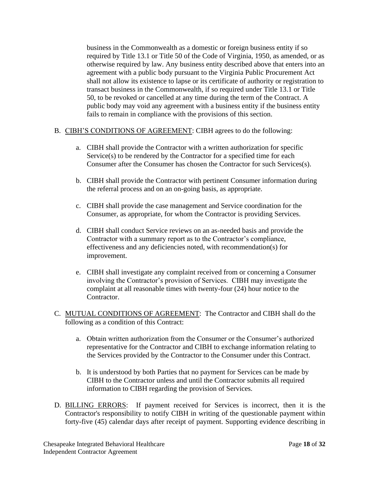business in the Commonwealth as a domestic or foreign business entity if so required by Title 13.1 or Title 50 of the Code of Virginia, 1950, as amended, or as otherwise required by law. Any business entity described above that enters into an agreement with a public body pursuant to the Virginia Public Procurement Act shall not allow its existence to lapse or its certificate of authority or registration to transact business in the Commonwealth, if so required under Title 13.1 or Title 50, to be revoked or cancelled at any time during the term of the Contract. A public body may void any agreement with a business entity if the business entity fails to remain in compliance with the provisions of this section.

# B. CIBH'S CONDITIONS OF AGREEMENT: CIBH agrees to do the following:

- a. CIBH shall provide the Contractor with a written authorization for specific Service(s) to be rendered by the Contractor for a specified time for each Consumer after the Consumer has chosen the Contractor for such Services(s).
- b. CIBH shall provide the Contractor with pertinent Consumer information during the referral process and on an on-going basis, as appropriate.
- c. CIBH shall provide the case management and Service coordination for the Consumer, as appropriate, for whom the Contractor is providing Services.
- d. CIBH shall conduct Service reviews on an as-needed basis and provide the Contractor with a summary report as to the Contractor's compliance, effectiveness and any deficiencies noted, with recommendation(s) for improvement.
- e. CIBH shall investigate any complaint received from or concerning a Consumer involving the Contractor's provision of Services. CIBH may investigate the complaint at all reasonable times with twenty-four (24) hour notice to the Contractor.
- C. MUTUAL CONDITIONS OF AGREEMENT: The Contractor and CIBH shall do the following as a condition of this Contract:
	- a. Obtain written authorization from the Consumer or the Consumer's authorized representative for the Contractor and CIBH to exchange information relating to the Services provided by the Contractor to the Consumer under this Contract.
	- b. It is understood by both Parties that no payment for Services can be made by CIBH to the Contractor unless and until the Contractor submits all required information to CIBH regarding the provision of Services.
- D. BILLING ERRORS: If payment received for Services is incorrect, then it is the Contractor's responsibility to notify CIBH in writing of the questionable payment within forty-five (45) calendar days after receipt of payment. Supporting evidence describing in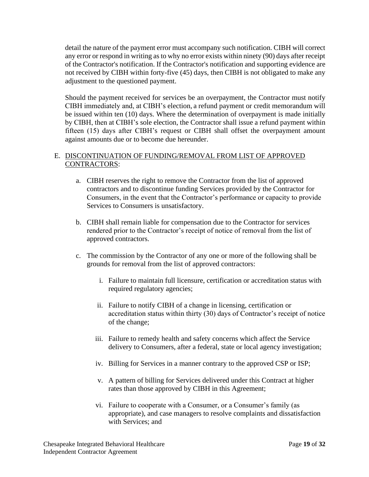detail the nature of the payment error must accompany such notification. CIBH will correct any error or respond in writing as to why no error exists within ninety (90) days after receipt of the Contractor's notification. If the Contractor's notification and supporting evidence are not received by CIBH within forty-five (45) days, then CIBH is not obligated to make any adjustment to the questioned payment.

Should the payment received for services be an overpayment, the Contractor must notify CIBH immediately and, at CIBH's election, a refund payment or credit memorandum will be issued within ten (10) days. Where the determination of overpayment is made initially by CIBH, then at CIBH's sole election, the Contractor shall issue a refund payment within fifteen (15) days after CIBH's request or CIBH shall offset the overpayment amount against amounts due or to become due hereunder.

# E. DISCONTINUATION OF FUNDING/REMOVAL FROM LIST OF APPROVED CONTRACTORS:

- a. CIBH reserves the right to remove the Contractor from the list of approved contractors and to discontinue funding Services provided by the Contractor for Consumers, in the event that the Contractor's performance or capacity to provide Services to Consumers is unsatisfactory.
- b. CIBH shall remain liable for compensation due to the Contractor for services rendered prior to the Contractor's receipt of notice of removal from the list of approved contractors.
- c. The commission by the Contractor of any one or more of the following shall be grounds for removal from the list of approved contractors:
	- i. Failure to maintain full licensure, certification or accreditation status with required regulatory agencies;
	- ii. Failure to notify CIBH of a change in licensing, certification or accreditation status within thirty (30) days of Contractor's receipt of notice of the change;
	- iii. Failure to remedy health and safety concerns which affect the Service delivery to Consumers, after a federal, state or local agency investigation;
	- iv. Billing for Services in a manner contrary to the approved CSP or ISP;
	- v. A pattern of billing for Services delivered under this Contract at higher rates than those approved by CIBH in this Agreement;
	- vi. Failure to cooperate with a Consumer, or a Consumer's family (as appropriate), and case managers to resolve complaints and dissatisfaction with Services; and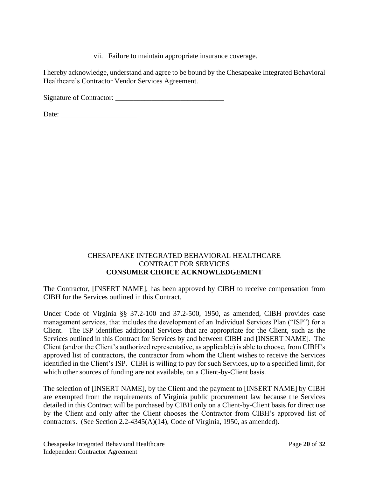vii. Failure to maintain appropriate insurance coverage.

I hereby acknowledge, understand and agree to be bound by the Chesapeake Integrated Behavioral Healthcare's Contractor Vendor Services Agreement.

Signature of Contractor: \_\_\_\_\_\_\_\_\_\_\_\_\_\_\_\_\_\_\_\_\_\_\_\_\_\_\_\_\_\_

Date: \_\_\_\_\_\_\_\_\_\_\_\_\_\_\_\_\_\_\_\_\_

#### CHESAPEAKE INTEGRATED BEHAVIORAL HEALTHCARE CONTRACT FOR SERVICES **CONSUMER CHOICE ACKNOWLEDGEMENT**

The Contractor, [INSERT NAME], has been approved by CIBH to receive compensation from CIBH for the Services outlined in this Contract.

Under Code of Virginia §§ 37.2-100 and 37.2-500, 1950, as amended, CIBH provides case management services, that includes the development of an Individual Services Plan ("ISP") for a Client. The ISP identifies additional Services that are appropriate for the Client, such as the Services outlined in this Contract for Services by and between CIBH and [INSERT NAME]. The Client (and/or the Client's authorized representative, as applicable) is able to choose, from CIBH's approved list of contractors, the contractor from whom the Client wishes to receive the Services identified in the Client's ISP. CIBH is willing to pay for such Services, up to a specified limit, for which other sources of funding are not available, on a Client-by-Client basis.

The selection of [INSERT NAME], by the Client and the payment to [INSERT NAME] by CIBH are exempted from the requirements of Virginia public procurement law because the Services detailed in this Contract will be purchased by CIBH only on a Client-by-Client basis for direct use by the Client and only after the Client chooses the Contractor from CIBH's approved list of contractors. (See Section 2.2-4345(A)(14), Code of Virginia, 1950, as amended).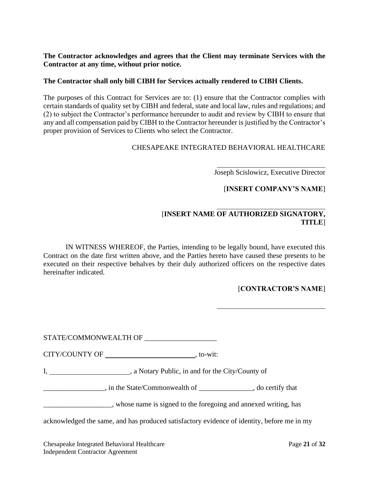**The Contractor acknowledges and agrees that the Client may terminate Services with the Contractor at any time, without prior notice.**

#### **The Contractor shall only bill CIBH for Services actually rendered to CIBH Clients.**

The purposes of this Contract for Services are to: (1) ensure that the Contractor complies with certain standards of quality set by CIBH and federal, state and local law, rules and regulations; and (2) to subject the Contractor's performance hereunder to audit and review by CIBH to ensure that any and all compensation paid by CIBH to the Contractor hereunder is justified by the Contractor's proper provision of Services to Clients who select the Contractor.

#### CHESAPEAKE INTEGRATED BEHAVIORAL HEALTHCARE

l

l

ı

Joseph Scislowicz, Executive Director

[**INSERT COMPANY'S NAME**]

# [**INSERT NAME OF AUTHORIZED SIGNATORY, TITLE**]

IN WITNESS WHEREOF, the Parties, intending to be legally bound, have executed this Contract on the date first written above, and the Parties hereto have caused these presents to be executed on their respective behalves by their duly authorized officers on the respective dates hereinafter indicated.

#### [**CONTRACTOR'S NAME**]

STATE/COMMONWEALTH OF \_\_\_\_\_\_\_\_\_\_\_\_\_\_\_\_\_\_\_\_

CITY/COUNTY OF , to-wit:

I, a Notary Public, in and for the City/County of

\_\_\_\_\_\_\_\_\_\_\_\_\_\_\_\_\_, in the State/Commonwealth of \_\_\_\_\_\_\_\_\_\_\_\_\_\_\_, do certify that

\_\_\_\_\_\_\_\_\_\_\_\_\_\_\_\_\_\_\_, whose name is signed to the foregoing and annexed writing, has

acknowledged the same, and has produced satisfactory evidence of identity, before me in my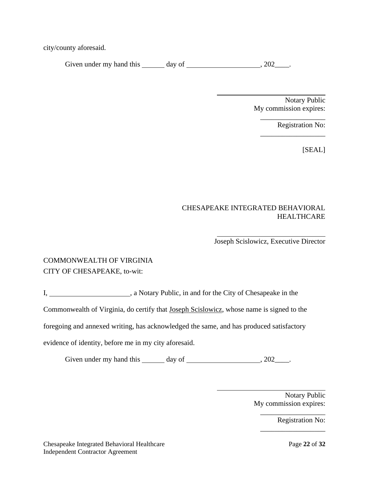city/county aforesaid.

Given under my hand this  $\_\_\_\_$  day of  $\_\_\_\_\_\_$ , 202 $\_\_\_\_\_\$ .

Notary Public My commission expires:

\_\_\_\_\_\_\_\_\_\_\_\_\_\_\_\_\_\_

\_\_\_\_\_\_\_\_\_\_\_\_\_\_\_\_\_\_

Registration No:

[SEAL]

#### CHESAPEAKE INTEGRATED BEHAVIORAL HEALTHCARE

ı

Joseph Scislowicz, Executive Director

# COMMONWEALTH OF VIRGINIA CITY OF CHESAPEAKE, to-wit:

I, 1. All a Notary Public, in and for the City of Chesapeake in the

Commonwealth of Virginia, do certify that Joseph Scislowicz, whose name is signed to the

foregoing and annexed writing, has acknowledged the same, and has produced satisfactory

evidence of identity, before me in my city aforesaid.

Given under my hand this  $\_\_\_\_$  day of  $\_\_\_\_\_\_\_$ , 202 $\_\_\_\_\$ .

Notary Public My commission expires:

\_\_\_\_\_\_\_\_\_\_\_\_\_\_\_\_\_\_

\_\_\_\_\_\_\_\_\_\_\_\_\_\_\_\_\_\_

Registration No: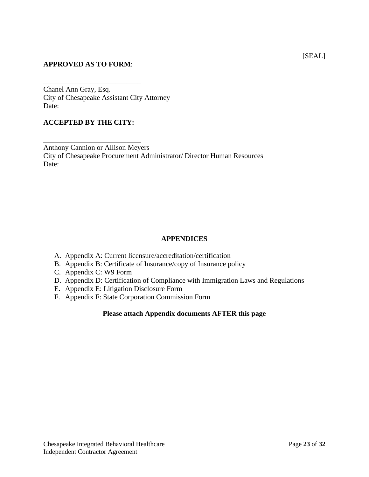#### **APPROVED AS TO FORM**:

\_\_\_\_\_\_\_\_\_\_\_\_\_\_\_\_\_\_\_\_\_\_\_\_\_\_\_ Chanel Ann Gray, Esq. City of Chesapeake Assistant City Attorney Date:

#### **ACCEPTED BY THE CITY:**

\_\_\_\_\_\_\_\_\_\_\_\_\_\_\_\_\_\_\_\_\_\_\_\_\_\_\_

Anthony Cannion or Allison Meyers City of Chesapeake Procurement Administrator/ Director Human Resources Date:

#### **APPENDICES**

- A. Appendix A: Current licensure/accreditation/certification
- B. Appendix B: Certificate of Insurance/copy of Insurance policy
- C. Appendix C: W9 Form
- D. Appendix D: Certification of Compliance with Immigration Laws and Regulations
- E. Appendix E: Litigation Disclosure Form
- F. Appendix F: State Corporation Commission Form

#### **Please attach Appendix documents AFTER this page**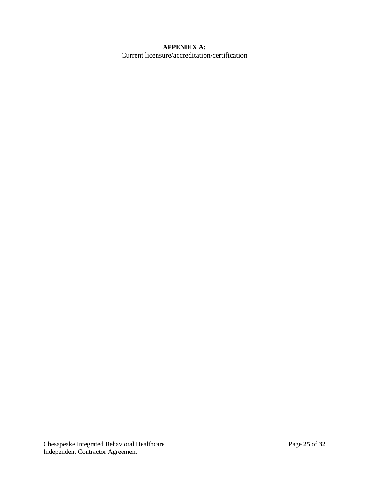#### **APPENDIX A:**

Current licensure/accreditation/certification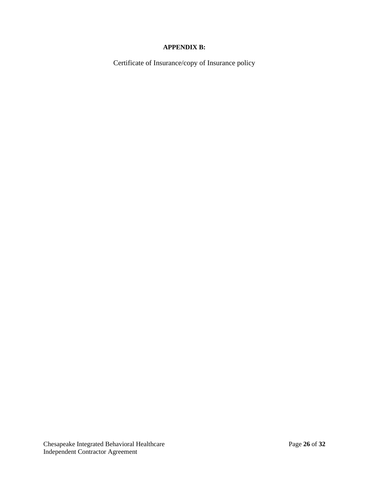# **APPENDIX B:**

Certificate of Insurance/copy of Insurance policy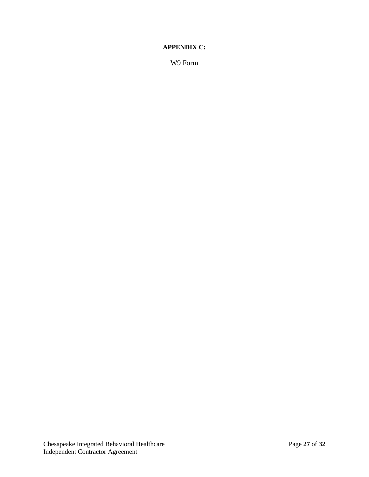#### **APPENDIX C:**

W9 Form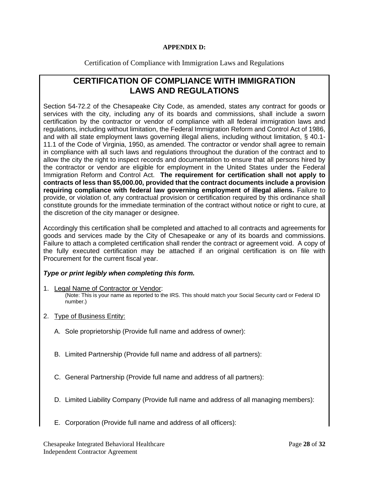#### **APPENDIX D:**

Certification of Compliance with Immigration Laws and Regulations

# **CERTIFICATION OF COMPLIANCE WITH IMMIGRATION LAWS AND REGULATIONS**

Section 54-72.2 of the Chesapeake City Code, as amended, states any contract for goods or services with the city, including any of its boards and commissions, shall include a sworn certification by the contractor or vendor of compliance with all federal immigration laws and regulations, including without limitation, the Federal Immigration Reform and Control Act of 1986, and with all state employment laws governing illegal aliens, including without limitation, § 40.1- 11.1 of the Code of Virginia, 1950, as amended. The contractor or vendor shall agree to remain in compliance with all such laws and regulations throughout the duration of the contract and to allow the city the right to inspect records and documentation to ensure that all persons hired by the contractor or vendor are eligible for employment in the United States under the Federal Immigration Reform and Control Act. **The requirement for certification shall not apply to contracts of less than \$5,000.00, provided that the contract documents include a provision requiring compliance with federal law governing employment of illegal aliens.** Failure to provide, or violation of, any contractual provision or certification required by this ordinance shall constitute grounds for the immediate termination of the contract without notice or right to cure, at the discretion of the city manager or designee.

Accordingly this certification shall be completed and attached to all contracts and agreements for goods and services made by the City of Chesapeake or any of its boards and commissions. Failure to attach a completed certification shall render the contract or agreement void. A copy of the fully executed certification may be attached if an original certification is on file with Procurement for the current fiscal year.

# *Type or print legibly when completing this form.*

- 1. Legal Name of Contractor or Vendor: (Note: This is your name as reported to the IRS. This should match your Social Security card or Federal ID number.)
- 2. Type of Business Entity:
	- A. Sole proprietorship (Provide full name and address of owner):
	- B. Limited Partnership (Provide full name and address of all partners):
	- C. General Partnership (Provide full name and address of all partners):
	- D. Limited Liability Company (Provide full name and address of all managing members):
	- E. Corporation (Provide full name and address of all officers):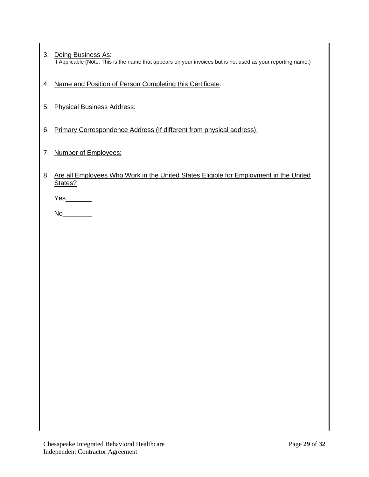- 3. Doing Business As: If Applicable (Note: This is the name that appears on your invoices but is not used as your reporting name.)
- 4. Name and Position of Person Completing this Certificate:
- 5. Physical Business Address:
- 6. Primary Correspondence Address (If different from physical address):
- 7. Number of Employees:
- 8. Are all Employees Who Work in the United States Eligible for Employment in the United States?

Yes  $\sim$ 

 $No$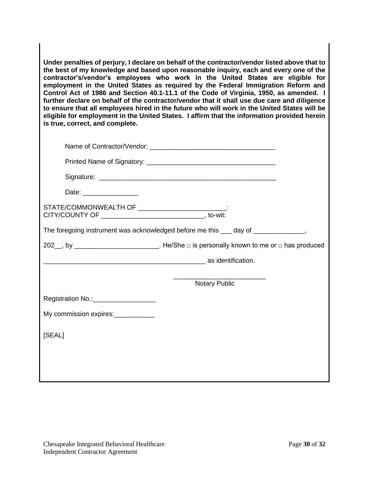**Under penalties of perjury, I declare on behalf of the contractor/vendor listed above that to the best of my knowledge and based upon reasonable inquiry, each and every one of the contractor's/vendor's employees who work in the United States are eligible for employment in the United States as required by the Federal Immigration Reform and Control Act of 1986 and Section 40.1-11.1 of the Code of Virginia, 1950, as amended. I further declare on behalf of the contractor/vendor that it shall use due care and diligence to ensure that all employees hired in the future who will work in the United States will be eligible for employment in the United States. I affirm that the information provided herein is true, correct, and complete.**

| Date: __________________                          |                                                                                             |
|---------------------------------------------------|---------------------------------------------------------------------------------------------|
| STATE/COMMONWEALTH OF __________________________: |                                                                                             |
|                                                   | The foregoing instrument was acknowledged before me this ___ day of _____________,          |
|                                                   | 202__, by ___________________________. He/She □ is personally known to me or □ has produced |
|                                                   |                                                                                             |
|                                                   | <b>Notary Public</b>                                                                        |
| Registration No.:____________________             |                                                                                             |
|                                                   |                                                                                             |
| [SEAL]                                            |                                                                                             |
|                                                   |                                                                                             |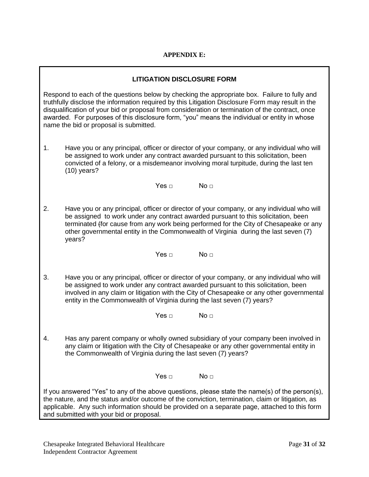# **APPENDIX E:**

#### **LITIGATION DISCLOSURE FORM**

Respond to each of the questions below by checking the appropriate box. Failure to fully and truthfully disclose the information required by this Litigation Disclosure Form may result in the disqualification of your bid or proposal from consideration or termination of the contract, once awarded. For purposes of this disclosure form, "you" means the individual or entity in whose name the bid or proposal is submitted.

1. Have you or any principal, officer or director of your company, or any individual who will be assigned to work under any contract awarded pursuant to this solicitation, been convicted of a felony, or a misdemeanor involving moral turpitude, during the last ten (10) years?

 $Yes \square$  No  $\square$ 

2. Have you or any principal, officer or director of your company, or any individual who will be assigned to work under any contract awarded pursuant to this solicitation, been terminated (for cause from any work being performed for the City of Chesapeake or any other governmental entity in the Commonwealth of Virginia during the last seven (7) years?

 $Yes \square$  No  $\square$ 

3. Have you or any principal, officer or director of your company, or any individual who will be assigned to work under any contract awarded pursuant to this solicitation, been involved in any claim or litigation with the City of Chesapeake or any other governmental entity in the Commonwealth of Virginia during the last seven (7) years?

 $Yes \Box$   $No \Box$ 

4. Has any parent company or wholly owned subsidiary of your company been involved in any claim or litigation with the City of Chesapeake or any other governmental entity in the Commonwealth of Virginia during the last seven (7) years?

 $Yes \Box$   $No \Box$ 

If you answered "Yes" to any of the above questions, please state the name(s) of the person(s), the nature, and the status and/or outcome of the conviction, termination, claim or litigation, as applicable. Any such information should be provided on a separate page, attached to this form and submitted with your bid or proposal.